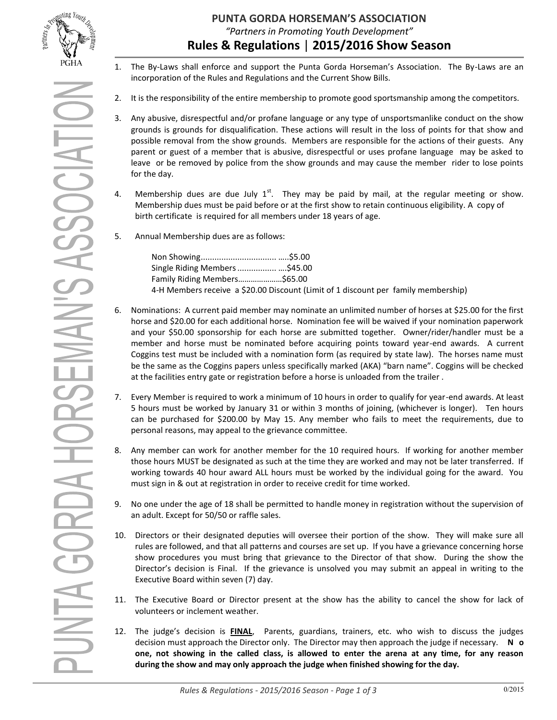

SEMAN'S ASSOCIATIO

PUNTA GORDA

- 1. The By-Laws shall enforce and support the Punta Gorda Horseman's Association. The By-Laws are an incorporation of the Rules and Regulations and the Current Show Bills.
- 2. It is the responsibility of the entire membership to promote good sportsmanship among the competitors.
- 3. Any abusive, disrespectful and/or profane language or any type of unsportsmanlike conduct on the show grounds is grounds for disqualification. These actions will result in the loss of points for that show and possible removal from the show grounds. Members are responsible for the actions of their guests. Any parent or guest of a member that is abusive, disrespectful or uses profane language may be asked to leave or be removed by police from the show grounds and may cause the member rider to lose points for the day.
- 4. Membership dues are due July  $1^{st}$ . They may be paid by mail, at the regular meeting or show. Membership dues must be paid before or at the first show to retain continuous eligibility. A copy of birth certificate is required for all members under 18 years of age.
- 5. Annual Membership dues are as follows:

| Single Riding Members \$45.00                                                      |  |  |
|------------------------------------------------------------------------------------|--|--|
| Family Riding Members\$65.00                                                       |  |  |
| 4-H Members receive a \$20.00 Discount (Limit of 1 discount per family membership) |  |  |

- 6. Nominations: A current paid member may nominate an unlimited number of horses at \$25.00 for the first horse and \$20.00 for each additional horse. Nomination fee will be waived if your nomination paperwork and your \$50.00 sponsorship for each horse are submitted together. Owner/rider/handler must be a member and horse must be nominated before acquiring points toward year-end awards. A current Coggins test must be included with a nomination form (as required by state law). The horses name must be the same as the Coggins papers unless specifically marked (AKA) "barn name". Coggins will be checked at the facilities entry gate or registration before a horse is unloaded from the trailer .
- 7. Every Member is required to work a minimum of 10 hours in order to qualify for year-end awards. At least 5 hours must be worked by January 31 or within 3 months of joining, (whichever is longer). Ten hours can be purchased for \$200.00 by May 15. Any member who fails to meet the requirements, due to personal reasons, may appeal to the grievance committee.
- 8. Any member can work for another member for the 10 required hours. If working for another member those hours MUST be designated as such at the time they are worked and may not be later transferred. If working towards 40 hour award ALL hours must be worked by the individual going for the award. You must sign in & out at registration in order to receive credit for time worked.
- 9. No one under the age of 18 shall be permitted to handle money in registration without the supervision of an adult. Except for 50/50 or raffle sales.
- 10. Directors or their designated deputies will oversee their portion of the show. They will make sure all rules are followed, and that all patterns and courses are set up. If you have a grievance concerning horse show procedures you must bring that grievance to the Director of that show. During the show the Director's decision is Final. If the grievance is unsolved you may submit an appeal in writing to the Executive Board within seven (7) day.
- 11. The Executive Board or Director present at the show has the ability to cancel the show for lack of volunteers or inclement weather.
- 12. The judge's decision is **FINAL**, Parents, guardians, trainers, etc. who wish to discuss the judges decision must approach the Director only. The Director may then approach the judge if necessary. **N o one, not showing in the called class, is allowed to enter the arena at any time, for any reason during the show and may only approach the judge when finished showing for the day.**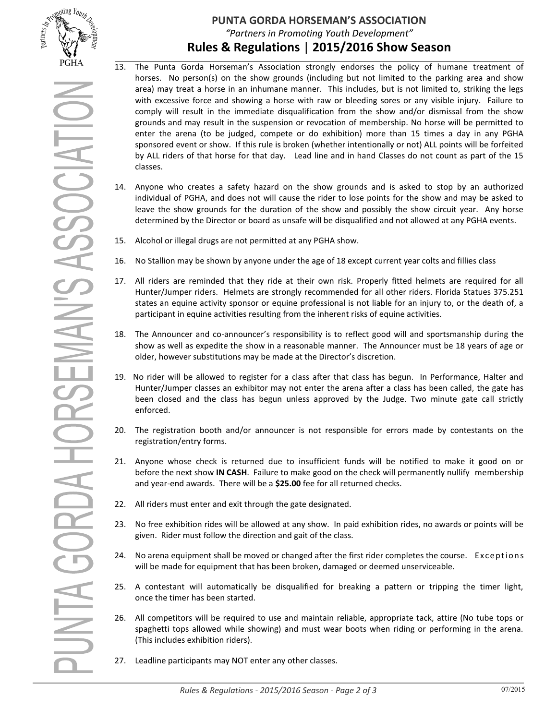

- 13. The Punta Gorda Horseman's Association strongly endorses the policy of humane treatment of horses. No person(s) on the show grounds (including but not limited to the parking area and show area) may treat a horse in an inhumane manner. This includes, but is not limited to, striking the legs with excessive force and showing a horse with raw or bleeding sores or any visible injury. Failure to comply will result in the immediate disqualification from the show and/or dismissal from the show grounds and may result in the suspension or revocation of membership. No horse will be permitted to enter the arena (to be judged, compete or do exhibition) more than 15 times a day in any PGHA sponsored event or show. If this rule is broken (whether intentionally or not) ALL points will be forfeited by ALL riders of that horse for that day. Lead line and in hand Classes do not count as part of the 15 classes.
- 14. Anyone who creates a safety hazard on the show grounds and is asked to stop by an authorized individual of PGHA, and does not will cause the rider to lose points for the show and may be asked to leave the show grounds for the duration of the show and possibly the show circuit year. Any horse determined by the Director or board as unsafe will be disqualified and not allowed at any PGHA events.
- 15. Alcohol or illegal drugs are not permitted at any PGHA show.
- 16. No Stallion may be shown by anyone under the age of 18 except current year colts and fillies class
- 17. All riders are reminded that they ride at their own risk. Properly fitted helmets are required for all Hunter/Jumper riders. Helmets are strongly recommended for all other riders. Florida Statues 375.251 states an equine activity sponsor or equine professional is not liable for an injury to, or the death of, a participant in equine activities resulting from the inherent risks of equine activities.
- 18. The Announcer and co-announcer's responsibility is to reflect good will and sportsmanship during the show as well as expedite the show in a reasonable manner. The Announcer must be 18 years of age or older, however substitutions may be made at the Director's discretion.
- 19. No rider will be allowed to register for a class after that class has begun. In Performance, Halter and Hunter/Jumper classes an exhibitor may not enter the arena after a class has been called, the gate has been closed and the class has begun unless approved by the Judge. Two minute gate call strictly enforced.
- 20. The registration booth and/or announcer is not responsible for errors made by contestants on the registration/entry forms.
- 21. Anyone whose check is returned due to insufficient funds will be notified to make it good on or before the next show **IN CASH**. Failure to make good on the check will permanently nullify membership and year-end awards. There will be a **\$25.00** fee for all returned checks.
- 22. All riders must enter and exit through the gate designated.
- 23. No free exhibition rides will be allowed at any show. In paid exhibition rides, no awards or points will be given. Rider must follow the direction and gait of the class.
- 24. No arena equipment shall be moved or changed after the first rider completes the course. Exceptions will be made for equipment that has been broken, damaged or deemed unserviceable.
- 25. A contestant will automatically be disqualified for breaking a pattern or tripping the timer light, once the timer has been started.
- 26. All competitors will be required to use and maintain reliable, appropriate tack, attire (No tube tops or spaghetti tops allowed while showing) and must wear boots when riding or performing in the arena. (This includes exhibition riders).
- 27. Leadline participants may NOT enter any other classes.